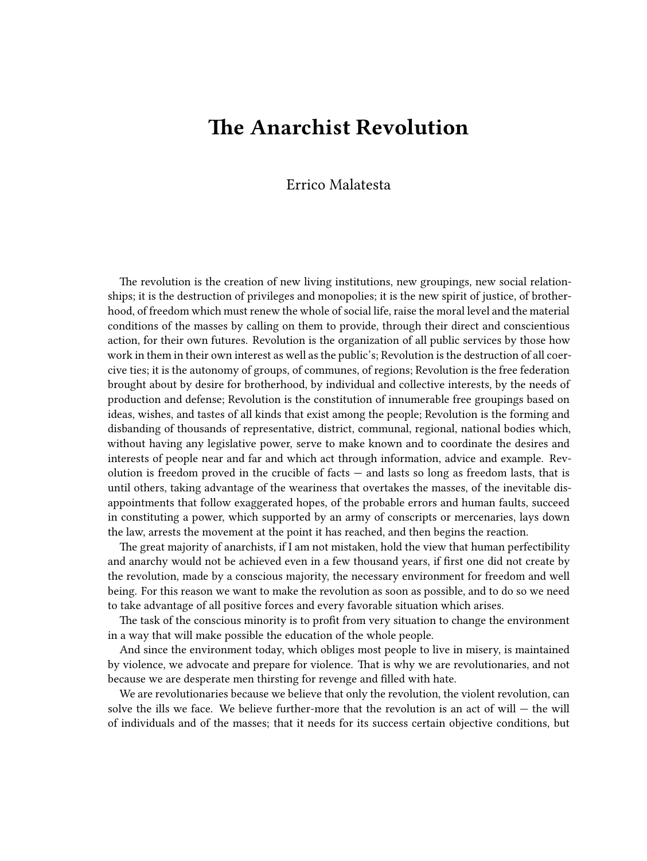## **The Anarchist Revolution**

## Errico Malatesta

The revolution is the creation of new living institutions, new groupings, new social relationships; it is the destruction of privileges and monopolies; it is the new spirit of justice, of brotherhood, of freedom which must renew the whole of social life, raise the moral level and the material conditions of the masses by calling on them to provide, through their direct and conscientious action, for their own futures. Revolution is the organization of all public services by those how work in them in their own interest as well as the public's; Revolution is the destruction of all coercive ties; it is the autonomy of groups, of communes, of regions; Revolution is the free federation brought about by desire for brotherhood, by individual and collective interests, by the needs of production and defense; Revolution is the constitution of innumerable free groupings based on ideas, wishes, and tastes of all kinds that exist among the people; Revolution is the forming and disbanding of thousands of representative, district, communal, regional, national bodies which, without having any legislative power, serve to make known and to coordinate the desires and interests of people near and far and which act through information, advice and example. Revolution is freedom proved in the crucible of facts — and lasts so long as freedom lasts, that is until others, taking advantage of the weariness that overtakes the masses, of the inevitable disappointments that follow exaggerated hopes, of the probable errors and human faults, succeed in constituting a power, which supported by an army of conscripts or mercenaries, lays down the law, arrests the movement at the point it has reached, and then begins the reaction.

The great majority of anarchists, if I am not mistaken, hold the view that human perfectibility and anarchy would not be achieved even in a few thousand years, if first one did not create by the revolution, made by a conscious majority, the necessary environment for freedom and well being. For this reason we want to make the revolution as soon as possible, and to do so we need to take advantage of all positive forces and every favorable situation which arises.

The task of the conscious minority is to profit from very situation to change the environment in a way that will make possible the education of the whole people.

And since the environment today, which obliges most people to live in misery, is maintained by violence, we advocate and prepare for violence. That is why we are revolutionaries, and not because we are desperate men thirsting for revenge and filled with hate.

We are revolutionaries because we believe that only the revolution, the violent revolution, can solve the ills we face. We believe further-more that the revolution is an act of will  $-$  the will of individuals and of the masses; that it needs for its success certain objective conditions, but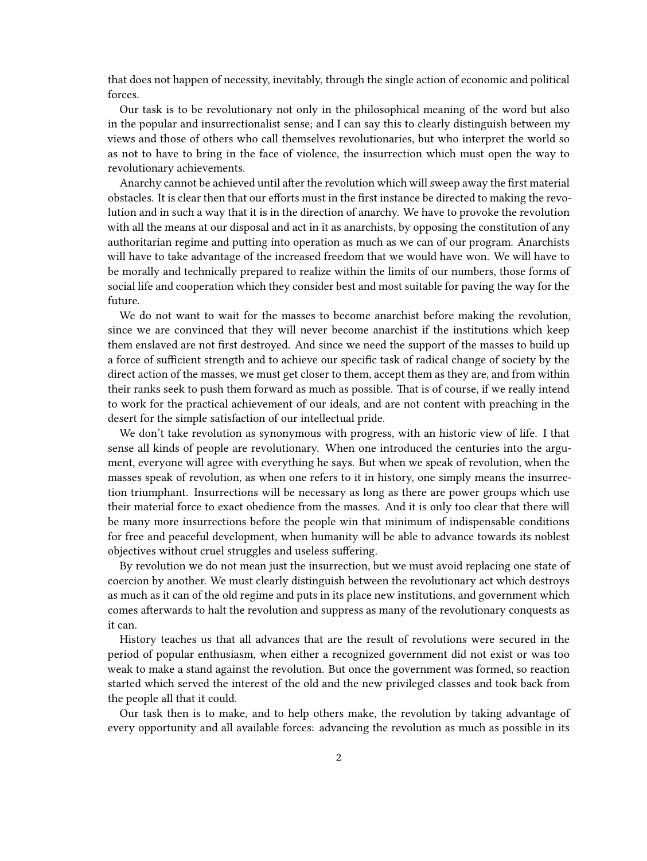that does not happen of necessity, inevitably, through the single action of economic and political forces.

Our task is to be revolutionary not only in the philosophical meaning of the word but also in the popular and insurrectionalist sense; and I can say this to clearly distinguish between my views and those of others who call themselves revolutionaries, but who interpret the world so as not to have to bring in the face of violence, the insurrection which must open the way to revolutionary achievements.

Anarchy cannot be achieved until after the revolution which will sweep away the first material obstacles. It is clear then that our efforts must in the first instance be directed to making the revolution and in such a way that it is in the direction of anarchy. We have to provoke the revolution with all the means at our disposal and act in it as anarchists, by opposing the constitution of any authoritarian regime and putting into operation as much as we can of our program. Anarchists will have to take advantage of the increased freedom that we would have won. We will have to be morally and technically prepared to realize within the limits of our numbers, those forms of social life and cooperation which they consider best and most suitable for paving the way for the future.

We do not want to wait for the masses to become anarchist before making the revolution, since we are convinced that they will never become anarchist if the institutions which keep them enslaved are not first destroyed. And since we need the support of the masses to build up a force of sufficient strength and to achieve our specific task of radical change of society by the direct action of the masses, we must get closer to them, accept them as they are, and from within their ranks seek to push them forward as much as possible. That is of course, if we really intend to work for the practical achievement of our ideals, and are not content with preaching in the desert for the simple satisfaction of our intellectual pride.

We don't take revolution as synonymous with progress, with an historic view of life. I that sense all kinds of people are revolutionary. When one introduced the centuries into the argument, everyone will agree with everything he says. But when we speak of revolution, when the masses speak of revolution, as when one refers to it in history, one simply means the insurrection triumphant. Insurrections will be necessary as long as there are power groups which use their material force to exact obedience from the masses. And it is only too clear that there will be many more insurrections before the people win that minimum of indispensable conditions for free and peaceful development, when humanity will be able to advance towards its noblest objectives without cruel struggles and useless suffering.

By revolution we do not mean just the insurrection, but we must avoid replacing one state of coercion by another. We must clearly distinguish between the revolutionary act which destroys as much as it can of the old regime and puts in its place new institutions, and government which comes afterwards to halt the revolution and suppress as many of the revolutionary conquests as it can.

History teaches us that all advances that are the result of revolutions were secured in the period of popular enthusiasm, when either a recognized government did not exist or was too weak to make a stand against the revolution. But once the government was formed, so reaction started which served the interest of the old and the new privileged classes and took back from the people all that it could.

Our task then is to make, and to help others make, the revolution by taking advantage of every opportunity and all available forces: advancing the revolution as much as possible in its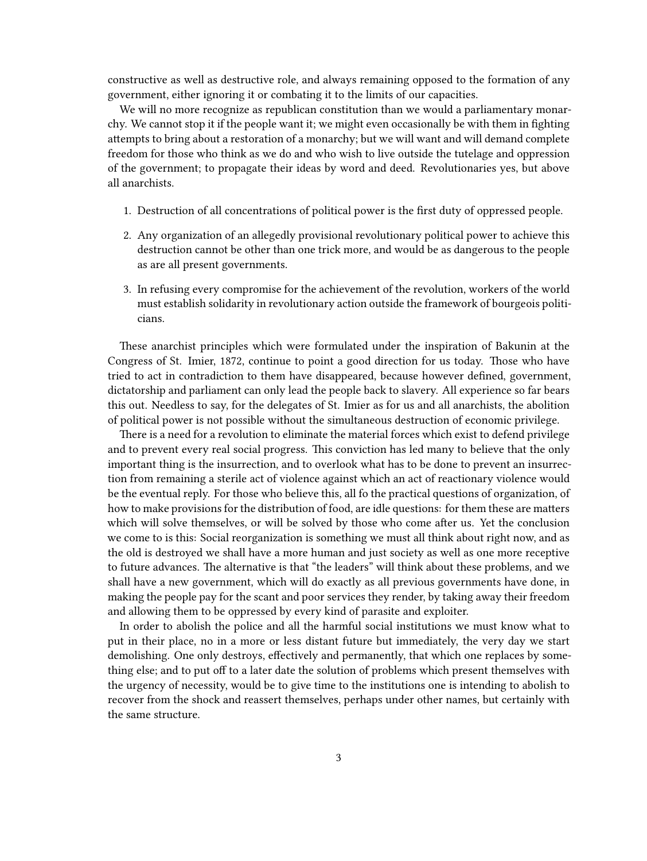constructive as well as destructive role, and always remaining opposed to the formation of any government, either ignoring it or combating it to the limits of our capacities.

We will no more recognize as republican constitution than we would a parliamentary monarchy. We cannot stop it if the people want it; we might even occasionally be with them in fighting attempts to bring about a restoration of a monarchy; but we will want and will demand complete freedom for those who think as we do and who wish to live outside the tutelage and oppression of the government; to propagate their ideas by word and deed. Revolutionaries yes, but above all anarchists.

- 1. Destruction of all concentrations of political power is the first duty of oppressed people.
- 2. Any organization of an allegedly provisional revolutionary political power to achieve this destruction cannot be other than one trick more, and would be as dangerous to the people as are all present governments.
- 3. In refusing every compromise for the achievement of the revolution, workers of the world must establish solidarity in revolutionary action outside the framework of bourgeois politicians.

These anarchist principles which were formulated under the inspiration of Bakunin at the Congress of St. Imier, 1872, continue to point a good direction for us today. Those who have tried to act in contradiction to them have disappeared, because however defined, government, dictatorship and parliament can only lead the people back to slavery. All experience so far bears this out. Needless to say, for the delegates of St. Imier as for us and all anarchists, the abolition of political power is not possible without the simultaneous destruction of economic privilege.

There is a need for a revolution to eliminate the material forces which exist to defend privilege and to prevent every real social progress. This conviction has led many to believe that the only important thing is the insurrection, and to overlook what has to be done to prevent an insurrection from remaining a sterile act of violence against which an act of reactionary violence would be the eventual reply. For those who believe this, all fo the practical questions of organization, of how to make provisions for the distribution of food, are idle questions: for them these are matters which will solve themselves, or will be solved by those who come after us. Yet the conclusion we come to is this: Social reorganization is something we must all think about right now, and as the old is destroyed we shall have a more human and just society as well as one more receptive to future advances. The alternative is that "the leaders" will think about these problems, and we shall have a new government, which will do exactly as all previous governments have done, in making the people pay for the scant and poor services they render, by taking away their freedom and allowing them to be oppressed by every kind of parasite and exploiter.

In order to abolish the police and all the harmful social institutions we must know what to put in their place, no in a more or less distant future but immediately, the very day we start demolishing. One only destroys, effectively and permanently, that which one replaces by something else; and to put off to a later date the solution of problems which present themselves with the urgency of necessity, would be to give time to the institutions one is intending to abolish to recover from the shock and reassert themselves, perhaps under other names, but certainly with the same structure.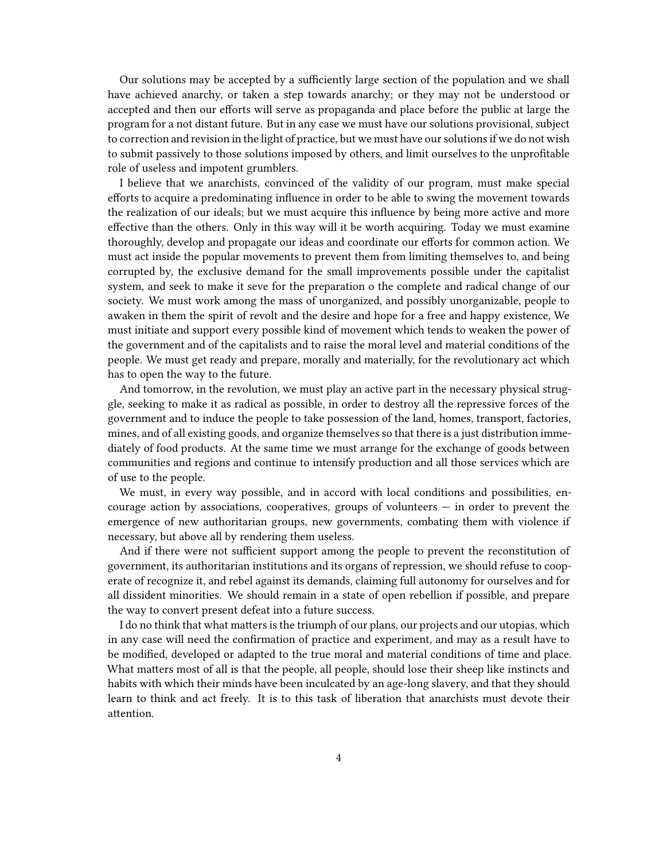Our solutions may be accepted by a sufficiently large section of the population and we shall have achieved anarchy, or taken a step towards anarchy; or they may not be understood or accepted and then our efforts will serve as propaganda and place before the public at large the program for a not distant future. But in any case we must have our solutions provisional, subject to correction and revision in the light of practice, but we must have our solutions if we do not wish to submit passively to those solutions imposed by others, and limit ourselves to the unprofitable role of useless and impotent grumblers.

I believe that we anarchists, convinced of the validity of our program, must make special efforts to acquire a predominating influence in order to be able to swing the movement towards the realization of our ideals; but we must acquire this influence by being more active and more effective than the others. Only in this way will it be worth acquiring. Today we must examine thoroughly, develop and propagate our ideas and coordinate our efforts for common action. We must act inside the popular movements to prevent them from limiting themselves to, and being corrupted by, the exclusive demand for the small improvements possible under the capitalist system, and seek to make it seve for the preparation o the complete and radical change of our society. We must work among the mass of unorganized, and possibly unorganizable, people to awaken in them the spirit of revolt and the desire and hope for a free and happy existence, We must initiate and support every possible kind of movement which tends to weaken the power of the government and of the capitalists and to raise the moral level and material conditions of the people. We must get ready and prepare, morally and materially, for the revolutionary act which has to open the way to the future.

And tomorrow, in the revolution, we must play an active part in the necessary physical struggle, seeking to make it as radical as possible, in order to destroy all the repressive forces of the government and to induce the people to take possession of the land, homes, transport, factories, mines, and of all existing goods, and organize themselves so that there is a just distribution immediately of food products. At the same time we must arrange for the exchange of goods between communities and regions and continue to intensify production and all those services which are of use to the people.

We must, in every way possible, and in accord with local conditions and possibilities, encourage action by associations, cooperatives, groups of volunteers — in order to prevent the emergence of new authoritarian groups, new governments, combating them with violence if necessary, but above all by rendering them useless.

And if there were not sufficient support among the people to prevent the reconstitution of government, its authoritarian institutions and its organs of repression, we should refuse to cooperate of recognize it, and rebel against its demands, claiming full autonomy for ourselves and for all dissident minorities. We should remain in a state of open rebellion if possible, and prepare the way to convert present defeat into a future success.

I do no think that what matters is the triumph of our plans, our projects and our utopias, which in any case will need the confirmation of practice and experiment, and may as a result have to be modified, developed or adapted to the true moral and material conditions of time and place. What matters most of all is that the people, all people, should lose their sheep like instincts and habits with which their minds have been inculcated by an age-long slavery, and that they should learn to think and act freely. It is to this task of liberation that anarchists must devote their attention.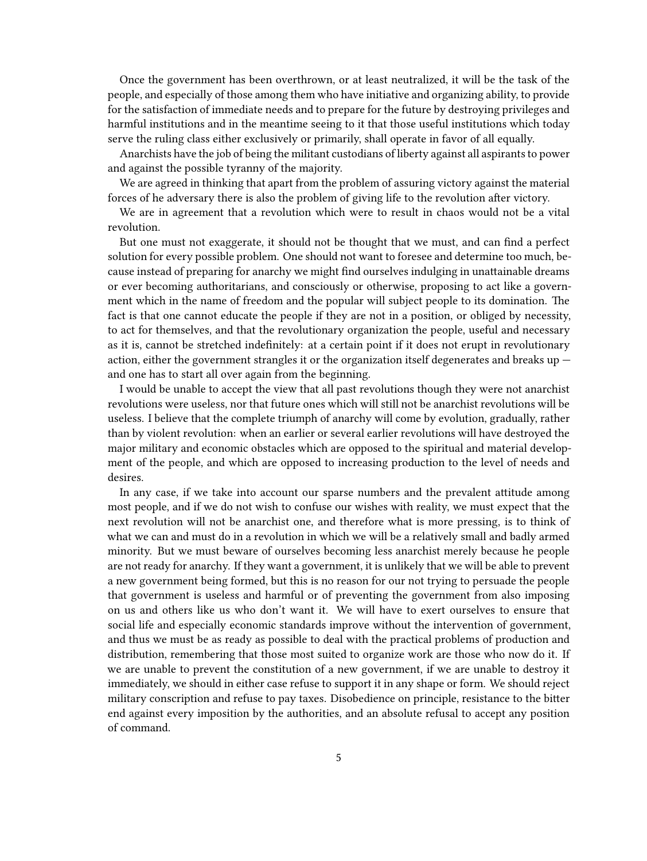Once the government has been overthrown, or at least neutralized, it will be the task of the people, and especially of those among them who have initiative and organizing ability, to provide for the satisfaction of immediate needs and to prepare for the future by destroying privileges and harmful institutions and in the meantime seeing to it that those useful institutions which today serve the ruling class either exclusively or primarily, shall operate in favor of all equally.

Anarchists have the job of being the militant custodians of liberty against all aspirants to power and against the possible tyranny of the majority.

We are agreed in thinking that apart from the problem of assuring victory against the material forces of he adversary there is also the problem of giving life to the revolution after victory.

We are in agreement that a revolution which were to result in chaos would not be a vital revolution.

But one must not exaggerate, it should not be thought that we must, and can find a perfect solution for every possible problem. One should not want to foresee and determine too much, because instead of preparing for anarchy we might find ourselves indulging in unattainable dreams or ever becoming authoritarians, and consciously or otherwise, proposing to act like a government which in the name of freedom and the popular will subject people to its domination. The fact is that one cannot educate the people if they are not in a position, or obliged by necessity, to act for themselves, and that the revolutionary organization the people, useful and necessary as it is, cannot be stretched indefinitely: at a certain point if it does not erupt in revolutionary action, either the government strangles it or the organization itself degenerates and breaks up  $$ and one has to start all over again from the beginning.

I would be unable to accept the view that all past revolutions though they were not anarchist revolutions were useless, nor that future ones which will still not be anarchist revolutions will be useless. I believe that the complete triumph of anarchy will come by evolution, gradually, rather than by violent revolution: when an earlier or several earlier revolutions will have destroyed the major military and economic obstacles which are opposed to the spiritual and material development of the people, and which are opposed to increasing production to the level of needs and desires.

In any case, if we take into account our sparse numbers and the prevalent attitude among most people, and if we do not wish to confuse our wishes with reality, we must expect that the next revolution will not be anarchist one, and therefore what is more pressing, is to think of what we can and must do in a revolution in which we will be a relatively small and badly armed minority. But we must beware of ourselves becoming less anarchist merely because he people are not ready for anarchy. If they want a government, it is unlikely that we will be able to prevent a new government being formed, but this is no reason for our not trying to persuade the people that government is useless and harmful or of preventing the government from also imposing on us and others like us who don't want it. We will have to exert ourselves to ensure that social life and especially economic standards improve without the intervention of government, and thus we must be as ready as possible to deal with the practical problems of production and distribution, remembering that those most suited to organize work are those who now do it. If we are unable to prevent the constitution of a new government, if we are unable to destroy it immediately, we should in either case refuse to support it in any shape or form. We should reject military conscription and refuse to pay taxes. Disobedience on principle, resistance to the bitter end against every imposition by the authorities, and an absolute refusal to accept any position of command.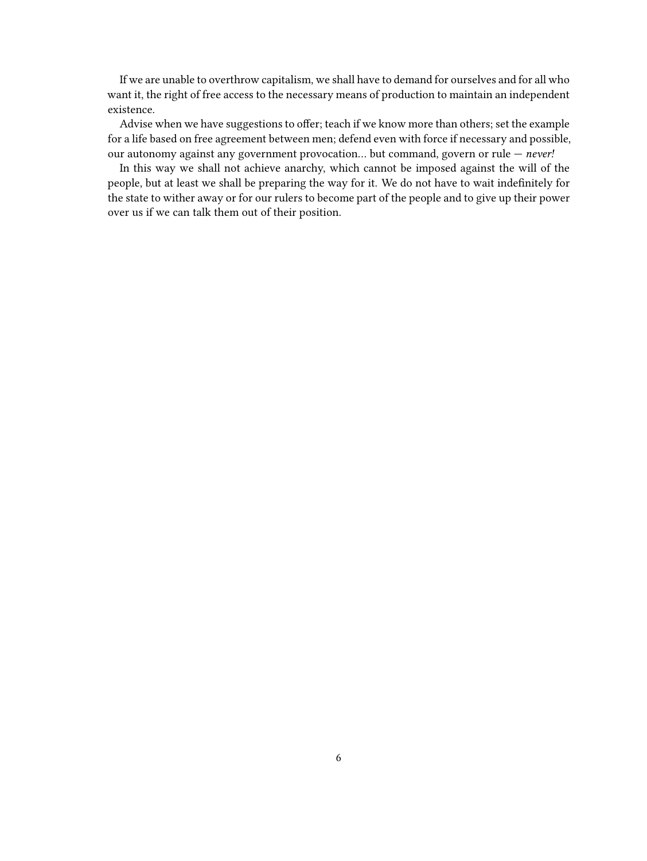If we are unable to overthrow capitalism, we shall have to demand for ourselves and for all who want it, the right of free access to the necessary means of production to maintain an independent existence.

Advise when we have suggestions to offer; teach if we know more than others; set the example for a life based on free agreement between men; defend even with force if necessary and possible, our autonomy against any government provocation… but command, govern or rule — *never!*

In this way we shall not achieve anarchy, which cannot be imposed against the will of the people, but at least we shall be preparing the way for it. We do not have to wait indefinitely for the state to wither away or for our rulers to become part of the people and to give up their power over us if we can talk them out of their position.